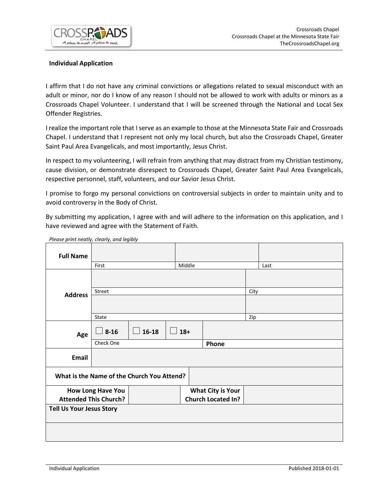

# **Individual Application**

I affirm that I do not have any criminal convictions or allegations related to sexual misconduct with an adult or minor, nor do I know of any reason I should not be allowed to work with adults or minors as a Crossroads Chapel Volunteer. I understand that I will be screened through the National and Local Sex Offender Registries.

I realize the important role that I serve as an example to those at the Minnesota State Fair and Crossroads Chapel. I understand that I represent not only my local church, but also the Crossroads Chapel, Greater Saint Paul Area Evangelicals, and most importantly, Jesus Christ.

In respect to my volunteering, I will refrain from anything that may distract from my Christian testimony, cause division, or demonstrate disrespect to Crossroads Chapel, Greater Saint Paul Area Evangelicals, respective personnel, staff, volunteers, and our Savior Jesus Christ.

I promise to forgo my personal convictions on controversial subjects in order to maintain unity and to avoid controversy in the Body of Christ.

By submitting my application, I agree with and will adhere to the information on this application, and I have reviewed and agree with the Statement of Faith.

| <b>Full Name</b>                           |           |                           |  |        |       |      |      |  |
|--------------------------------------------|-----------|---------------------------|--|--------|-------|------|------|--|
|                                            | First     |                           |  | Middle |       |      | Last |  |
|                                            |           |                           |  |        |       |      |      |  |
| <b>Address</b>                             | Street    |                           |  |        |       | City |      |  |
|                                            |           |                           |  |        |       |      |      |  |
|                                            | State     |                           |  |        |       | Zip  |      |  |
| Age                                        | $8 - 16$  | $\Box$ 16-18<br>$18+$     |  |        |       |      |      |  |
|                                            | Check One |                           |  |        | Phone |      |      |  |
| Email                                      |           |                           |  |        |       |      |      |  |
| What is the Name of the Church You Attend? |           |                           |  |        |       |      |      |  |
| <b>How Long Have You</b>                   |           | <b>What City is Your</b>  |  |        |       |      |      |  |
| <b>Attended This Church?</b>               |           | <b>Church Located In?</b> |  |        |       |      |      |  |
| <b>Tell Us Your Jesus Story</b>            |           |                           |  |        |       |      |      |  |
|                                            |           |                           |  |        |       |      |      |  |
|                                            |           |                           |  |        |       |      |      |  |

*Please print neatly, clearly, and legibly*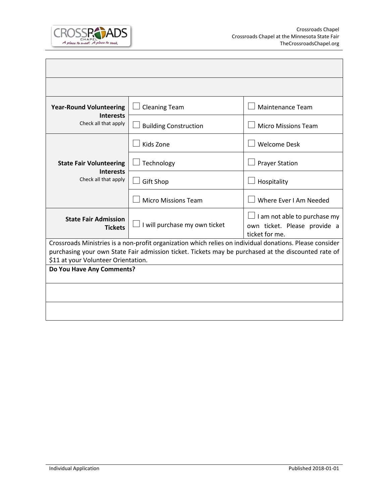

| <b>Year-Round Volunteering</b>                                                                                                             | <b>Cleaning Team</b>                 | <b>Maintenance Team</b>                                                        |  |  |  |  |  |  |
|--------------------------------------------------------------------------------------------------------------------------------------------|--------------------------------------|--------------------------------------------------------------------------------|--|--|--|--|--|--|
| <b>Interests</b><br>Check all that apply                                                                                                   | <b>Building Construction</b>         | <b>Micro Missions Team</b>                                                     |  |  |  |  |  |  |
|                                                                                                                                            | Kids Zone                            | <b>Welcome Desk</b>                                                            |  |  |  |  |  |  |
| <b>State Fair Volunteering</b><br><b>Interests</b>                                                                                         | Technology                           | <b>Prayer Station</b>                                                          |  |  |  |  |  |  |
| Check all that apply                                                                                                                       | <b>Gift Shop</b>                     | Hospitality                                                                    |  |  |  |  |  |  |
|                                                                                                                                            | <b>Micro Missions Team</b>           | Where Ever I Am Needed                                                         |  |  |  |  |  |  |
| <b>State Fair Admission</b><br><b>Tickets</b>                                                                                              | $\Box$ I will purchase my own ticket | I am not able to purchase my<br>own ticket. Please provide a<br>ticket for me. |  |  |  |  |  |  |
| Crossroads Ministries is a non-profit organization which relies on individual donations. Please consider                                   |                                      |                                                                                |  |  |  |  |  |  |
| purchasing your own State Fair admission ticket. Tickets may be purchased at the discounted rate of<br>\$11 at your Volunteer Orientation. |                                      |                                                                                |  |  |  |  |  |  |
| Do You Have Any Comments?                                                                                                                  |                                      |                                                                                |  |  |  |  |  |  |
|                                                                                                                                            |                                      |                                                                                |  |  |  |  |  |  |
|                                                                                                                                            |                                      |                                                                                |  |  |  |  |  |  |
|                                                                                                                                            |                                      |                                                                                |  |  |  |  |  |  |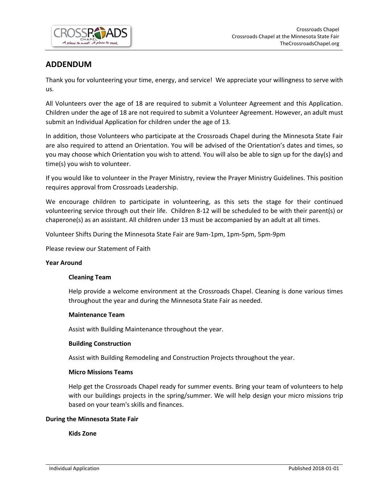

# **ADDENDUM**

Thank you for volunteering your time, energy, and service! We appreciate your willingness to serve with us.

All Volunteers over the age of 18 are required to submit a Volunteer Agreement and this Application. Children under the age of 18 are not required to submit a Volunteer Agreement. However, an adult must submit an Individual Application for children under the age of 13.

In addition, those Volunteers who participate at the Crossroads Chapel during the Minnesota State Fair are also required to attend an Orientation. You will be advised of the Orientation's dates and times, so you may choose which Orientation you wish to attend. You will also be able to sign up for the day(s) and time(s) you wish to volunteer.

If you would like to volunteer in the Prayer Ministry, review the Prayer Ministry Guidelines. This position requires approval from Crossroads Leadership.

We encourage children to participate in volunteering, as this sets the stage for their continued volunteering service through out their life. Children 8-12 will be scheduled to be with their parent(s) or chaperone(s) as an assistant. All children under 13 must be accompanied by an adult at all times.

Volunteer Shifts During the Minnesota State Fair are 9am-1pm, 1pm-5pm, 5pm-9pm

Please review our Statement of Faith

#### **Year Around**

#### **Cleaning Team**

Help provide a welcome environment at the Crossroads Chapel. Cleaning is done various times throughout the year and during the Minnesota State Fair as needed.

#### **Maintenance Team**

Assist with Building Maintenance throughout the year.

#### **Building Construction**

Assist with Building Remodeling and Construction Projects throughout the year.

#### **Micro Missions Teams**

Help get the Crossroads Chapel ready for summer events. Bring your team of volunteers to help with our buildings projects in the spring/summer. We will help design your micro missions trip based on your team's skills and finances.

#### **During the Minnesota State Fair**

**Kids Zone**